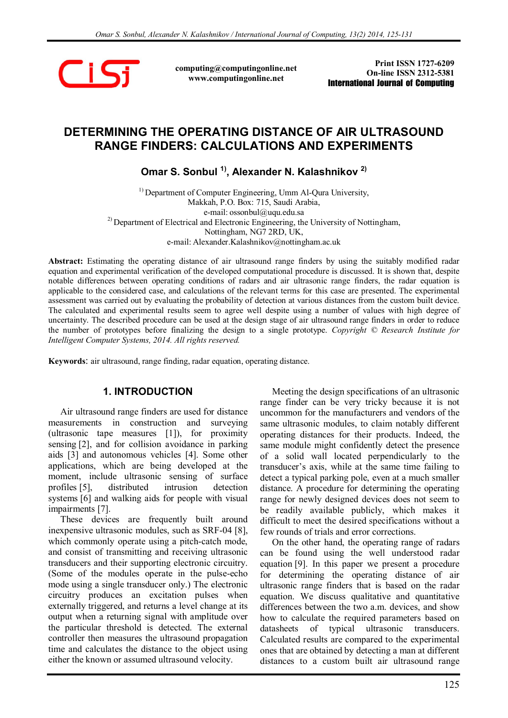

computing@computingonline.net www.computingonline.net

Print ISSN 1727-6209 On-line ISSN 2312-5381 International Journal of Computing

# DETERMINING THE OPERATING DISTANCE OF AIR ULTRASOUND RANGE FINDERS: CALCULATIONS AND EXPERIMENTS

Omar S. Sonbul<sup>1)</sup>, Alexander N. Kalashnikov<sup>2)</sup>

<sup>1)</sup> Department of Computer Engineering, Umm Al-Qura University, Makkah, P.O. Box: 715, Saudi Arabia, e-mail: ossonbul@uqu.edu.sa  $^{2)}$  Department of Electrical and Electronic Engineering, the University of Nottingham, Nottingham, NG7 2RD, UK, e-mail: Alexander.Kalashnikov@nottingham.ac.uk

Abstract: Estimating the operating distance of air ultrasound range finders by using the suitably modified radar equation and experimental verification of the developed computational procedure is discussed. It is shown that, despite notable differences between operating conditions of radars and air ultrasonic range finders, the radar equation is applicable to the considered case, and calculations of the relevant terms for this case are presented. The experimental assessment was carried out by evaluating the probability of detection at various distances from the custom built device. The calculated and experimental results seem to agree well despite using a number of values with high degree of uncertainty. The described procedure can be used at the design stage of air ultrasound range finders in order to reduce the number of prototypes before finalizing the design to a single prototype. Copyright © Research Institute for Intelligent Computer Systems, 2014. All rights reserved.

Keywords: air ultrasound, range finding, radar equation, operating distance.

#### 1. INTRODUCTION

Air ultrasound range finders are used for distance measurements in construction and surveying (ultrasonic tape measures [1]), for proximity sensing [2], and for collision avoidance in parking aids [3] and autonomous vehicles [4]. Some other applications, which are being developed at the moment, include ultrasonic sensing of surface profiles [5], distributed intrusion detection systems [6] and walking aids for people with visual impairments [7].

These devices are frequently built around inexpensive ultrasonic modules, such as SRF-04 [8], which commonly operate using a pitch-catch mode, and consist of transmitting and receiving ultrasonic transducers and their supporting electronic circuitry. (Some of the modules operate in the pulse-echo mode using a single transducer only.) The electronic circuitry produces an excitation pulses when externally triggered, and returns a level change at its output when a returning signal with amplitude over the particular threshold is detected. The external controller then measures the ultrasound propagation time and calculates the distance to the object using either the known or assumed ultrasound velocity.

Meeting the design specifications of an ultrasonic range finder can be very tricky because it is not uncommon for the manufacturers and vendors of the same ultrasonic modules, to claim notably different operating distances for their products. Indeed, the same module might confidently detect the presence of a solid wall located perpendicularly to the transducer's axis, while at the same time failing to detect a typical parking pole, even at a much smaller distance. A procedure for determining the operating range for newly designed devices does not seem to be readily available publicly, which makes it difficult to meet the desired specifications without a few rounds of trials and error corrections.

On the other hand, the operating range of radars can be found using the well understood radar equation [9]. In this paper we present a procedure for determining the operating distance of air ultrasonic range finders that is based on the radar equation. We discuss qualitative and quantitative differences between the two a.m. devices, and show how to calculate the required parameters based on datasheets of typical ultrasonic transducers. Calculated results are compared to the experimental ones that are obtained by detecting a man at different distances to a custom built air ultrasound range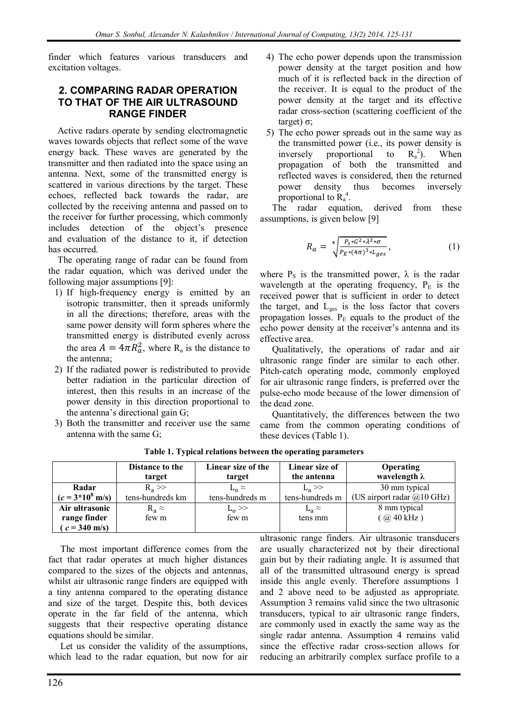finder which features various transducers and excitation voltages.

# 2. COMPARING RADAR OPERATION TO THAT OF THE AIR ULTRASOUND RANGE FINDER

Active radars operate by sending electromagnetic waves towards objects that reflect some of the wave energy back. These waves are generated by the transmitter and then radiated into the space using an antenna. Next, some of the transmitted energy is scattered in various directions by the target. These echoes, reflected back towards the radar, are collected by the receiving antenna and passed on to the receiver for further processing, which commonly includes detection of the object's presence and evaluation of the distance to it, if detection has occurred.

The operating range of radar can be found from the radar equation, which was derived under the following major assumptions [9]:

- 1) If high-frequency energy is emitted by an isotropic transmitter, then it spreads uniformly in all the directions; therefore, areas with the same power density will form spheres where the transmitted energy is distributed evenly across the area  $A = 4\pi R_a^2$ , where  $R_a$  is the distance to the antenna;
- 2) If the radiated power is redistributed to provide better radiation in the particular direction of interest, then this results in an increase of the power density in this direction proportional to the antenna's directional gain G;
- 3) Both the transmitter and receiver use the same antenna with the same G;
- 4) The echo power depends upon the transmission power density at the target position and how much of it is reflected back in the direction of the receiver. It is equal to the product of the power density at the target and its effective radar cross-section (scattering coefficient of the target) σ;
- 5) The echo power spreads out in the same way as the transmitted power (i.e., its power density is inversely proportional to  $R_a^2$ ). ). When propagation of both the transmitted and reflected waves is considered, then the returned power density thus becomes inversely proportional to  $R_a^4$ .

The radar equation, derived from these assumptions, is given below [9]

$$
R_a = \sqrt[4]{\frac{P_{S} * G^2 * \lambda^2 * \sigma}{P_{E} * (4\pi)^3 * L_{ges}}},\tag{1}
$$

where  $P_s$  is the transmitted power,  $\lambda$  is the radar wavelength at the operating frequency,  $P_{E}$  is the received power that is sufficient in order to detect the target, and  $L_{\text{ges}}$  is the loss factor that covers propagation losses.  $P<sub>E</sub>$  equals to the product of the echo power density at the receiver's antenna and its effective area.

Qualitatively, the operations of radar and air ultrasonic range finder are similar to each other. Pitch-catch operating mode, commonly employed for air ultrasonic range finders, is preferred over the pulse-echo mode because of the lower dimension of the dead zone.

Quantitatively, the differences between the two came from the common operating conditions of these devices (Table 1).

|                            | Distance to the  | Linear size of the | Linear size of  | Operating                                    |
|----------------------------|------------------|--------------------|-----------------|----------------------------------------------|
|                            | target           | target             | the antenna     | wavelength $\lambda$                         |
| Radar                      | $R_a \gg$        | $L_0 \approx$      | $L_a \gg$       | 30 mm typical                                |
| $(c = 3*10^8 \text{ m/s})$ | tens-hundreds km | tens-hundreds m    | tens-hundreds m | (US airport radar $\omega(10 \text{ GHz})$ ) |
| Air ultrasonic             | $R_a \approx$    | $L_{\rm o}$ $>$    | $L_a \approx$   | 8 mm typical                                 |
| range finder               | few m            | few m              | tens mm         | $(a)$ 40 kHz)                                |
| $(c = 340 \text{ m/s})$    |                  |                    |                 |                                              |

Table 1. Typical relations between the operating parameters

The most important difference comes from the fact that radar operates at much higher distances compared to the sizes of the objects and antennas, whilst air ultrasonic range finders are equipped with a tiny antenna compared to the operating distance and size of the target. Despite this, both devices operate in the far field of the antenna, which suggests that their respective operating distance equations should be similar.

Let us consider the validity of the assumptions, which lead to the radar equation, but now for air ultrasonic range finders. Air ultrasonic transducers are usually characterized not by their directional gain but by their radiating angle. It is assumed that all of the transmitted ultrasound energy is spread inside this angle evenly. Therefore assumptions 1 and 2 above need to be adjusted as appropriate. Assumption 3 remains valid since the two ultrasonic transducers, typical to air ultrasonic range finders, are commonly used in exactly the same way as the single radar antenna. Assumption 4 remains valid since the effective radar cross-section allows for reducing an arbitrarily complex surface profile to a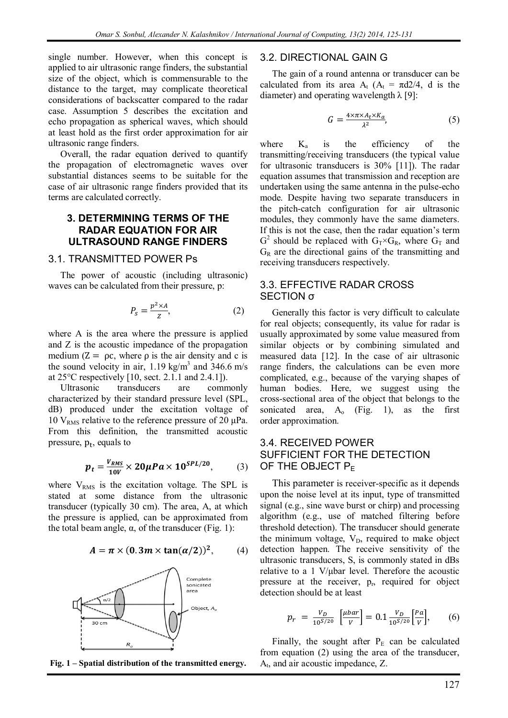single number. However, when this concept is applied to air ultrasonic range finders, the substantial size of the object, which is commensurable to the distance to the target, may complicate theoretical considerations of backscatter compared to the radar case. Assumption 5 describes the excitation and echo propagation as spherical waves, which should at least hold as the first order approximation for air ultrasonic range finders.

Overall, the radar equation derived to quantify the propagation of electromagnetic waves over substantial distances seems to be suitable for the case of air ultrasonic range finders provided that its terms are calculated correctly.

### 3. DETERMINING TERMS OF THE RADAR EQUATION FOR AIR ULTRASOUND RANGE FINDERS

#### 3.1. TRANSMITTED POWER Ps

The power of acoustic (including ultrasonic) waves can be calculated from their pressure, p:

$$
P_{\rm s} = \frac{p^2 \times A}{Z},\tag{2}
$$

where A is the area where the pressure is applied and Z is the acoustic impedance of the propagation medium ( $Z = \rho c$ , where  $\rho$  is the air density and c is the sound velocity in air,  $1.19 \text{ kg/m}^3$  and  $346.6 \text{ m/s}$ at 25°C respectively [10, sect. 2.1.1 and 2.4.1]).

Ultrasonic transducers are commonly characterized by their standard pressure level (SPL, dB) produced under the excitation voltage of 10  $V<sub>RMS</sub>$  relative to the reference pressure of 20 μPa. From this definition, the transmitted acoustic pressure,  $p_t$ , equals to

$$
p_t = \frac{v_{RMS}}{10V} \times 20\mu Pa \times 10^{SPL/20},\qquad(3)
$$

where  $V_{RMS}$  is the excitation voltage. The SPL is stated at some distance from the ultrasonic transducer (typically 30 cm). The area, A, at which the pressure is applied, can be approximated from the total beam angle,  $α$ , of the transducer (Fig. 1):

$$
A = \pi \times (0.3m \times \tan(\alpha/2))^2, \qquad (4)
$$





#### 3.2. DIRECTIONAL GAIN G

The gain of a round antenna or transducer can be calculated from its area  $A_t$  ( $A_t = \pi d2/4$ , d is the diameter) and operating wavelength  $\lambda$  [9]:

$$
G = \frac{4 \times \pi \times A_t \times K_a}{\lambda^2},\tag{5}
$$

where  $K_a$  is the efficiency of the transmitting/receiving transducers (the typical value for ultrasonic transducers is 30% [11]). The radar equation assumes that transmission and reception are undertaken using the same antenna in the pulse-echo mode. Despite having two separate transducers in the pitch-catch configuration for air ultrasonic modules, they commonly have the same diameters. If this is not the case, then the radar equation's term  $G^2$  should be replaced with  $G_T \times G_R$ , where  $G_T$  and  $G_R$  are the directional gains of the transmitting and receiving transducers respectively.

#### 3.3. EFFECTIVE RADAR CROSS SECTION σ

Generally this factor is very difficult to calculate for real objects; consequently, its value for radar is usually approximated by some value measured from similar objects or by combining simulated and measured data [12]. In the case of air ultrasonic range finders, the calculations can be even more complicated, e.g., because of the varying shapes of human bodies. Here, we suggest using the cross-sectional area of the object that belongs to the sonicated area,  $A_0$  (Fig. 1), as the first order approximation.

# 3.4. RECEIVED POWER SUFFICIENT FOR THE DETECTION OF THE OBJECT  $P_F$

This parameter is receiver-specific as it depends upon the noise level at its input, type of transmitted signal (e.g., sine wave burst or chirp) and processing algorithm (e.g., use of matched filtering before threshold detection). The transducer should generate the minimum voltage,  $V_D$ , required to make object detection happen. The receive sensitivity of the ultrasonic transducers, S, is commonly stated in dBs relative to a 1 V/μbar level. Therefore the acoustic pressure at the receiver,  $p_r$ , required for object detection should be at least

$$
p_r = \frac{v_D}{10^{S/20}} \left[ \frac{\mu bar}{V} \right] = 0.1 \frac{v_D}{10^{S/20}} \left[ \frac{Pa}{V} \right], \qquad (6)
$$

Finally, the sought after  $P_E$  can be calculated from equation (2) using the area of the transducer,  $A_t$ , and air acoustic impedance, Z.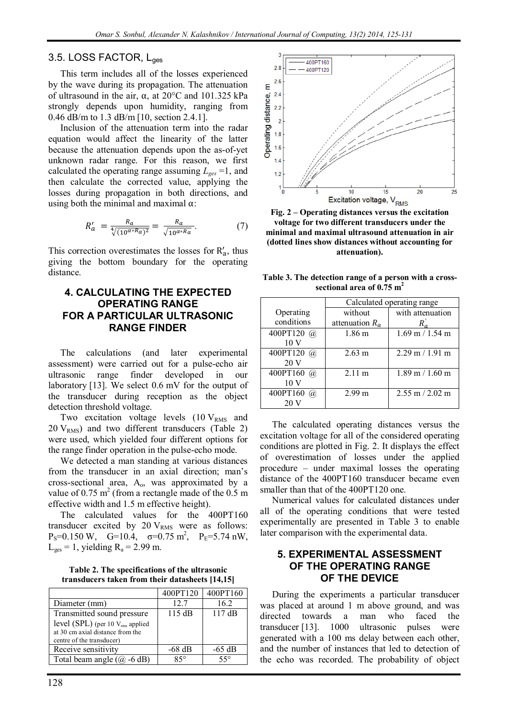#### 3.5. LOSS FACTOR, L<sub>ges</sub>

This term includes all of the losses experienced by the wave during its propagation. The attenuation of ultrasound in the air, α, at 20°C and 101.325 kPa strongly depends upon humidity, ranging from 0.46 dB/m to 1.3 dB/m [10, section 2.4.1].

Inclusion of the attenuation term into the radar equation would affect the linearity of the latter because the attenuation depends upon the as-of-yet unknown radar range. For this reason, we first calculated the operating range assuming  $L_{\text{ges}} = 1$ , and then calculate the corrected value, applying the losses during propagation in both directions, and using both the minimal and maximal  $\alpha$ :

$$
R'_a = \frac{R_a}{\sqrt[4]{(10^{\alpha * R_a})^2}} = \frac{R_a}{\sqrt{10^{\alpha * R_a}}}.
$$
 (7)

This correction overestimates the losses for  $R'_a$ , thus giving the bottom boundary for the operating distance.

### 4. CALCULATING THE EXPECTED OPERATING RANGE FOR A PARTICULAR ULTRASONIC RANGE FINDER

The calculations (and later experimental assessment) were carried out for a pulse-echo air ultrasonic range finder developed in our laboratory [13]. We select 0.6 mV for the output of the transducer during reception as the object detection threshold voltage.

Two excitation voltage levels  $(10 V<sub>RMS</sub>$  and  $20 \text{ V}_{RMS}$ ) and two different transducers (Table 2) were used, which yielded four different options for the range finder operation in the pulse-echo mode.

We detected a man standing at various distances from the transducer in an axial direction; man's cross-sectional area,  $A_0$ , was approximated by a value of 0.75  $m^2$  (from a rectangle made of the 0.5 m effective width and 1.5 m effective height).

The calculated values for the 400PT160 transducer excited by  $20$  V<sub>RMS</sub> were as follows:  $P_S=0.150 \text{ W}, \quad G=10.4, \quad \sigma=0.75 \text{ m}^2, \quad P_E=5.74 \text{ nW},$  $L_{\text{ges}} = 1$ , yielding  $R_a = 2.99$  m.

Table 2. The specifications of the ultrasonic transducers taken from their datasheets [14,15]

|                                              | 400PT120 | 400PT160     |
|----------------------------------------------|----------|--------------|
| Diameter (mm)                                | 127      | 16.2         |
| Transmitted sound pressure                   | 115 dB   | 117dB        |
| level (SPL) (per 10 V <sub>rms</sub> applied |          |              |
| at 30 cm axial distance from the             |          |              |
| centre of the transducer)                    |          |              |
| Receive sensitivity                          | $-68$ dB | $-65$ dB     |
| Total beam angle $(\hat{\omega} - 6$ dB)     | १५०      | $55^{\circ}$ |



Fig. 2 – Operating distances versus the excitation voltage for two different transducers under the minimal and maximal ultrasound attenuation in air (dotted lines show distances without accounting for attenuation).

Table 3. The detection range of a person with a crosssectional area of  $0.75 \text{ m}^2$ 

|                  | Calculated operating range |                     |  |
|------------------|----------------------------|---------------------|--|
| Operating        | without                    | with attenuation    |  |
| conditions       | attenuation $R_a$          | $R_a$               |  |
| 400PT120 @       | 1.86 m                     | $1.69$ m $/ 1.54$ m |  |
| 10 <sub>V</sub>  |                            |                     |  |
| 400PT120<br>(a). | $2.63 \text{ m}$           | $2.29$ m / 1.91 m   |  |
| 20V              |                            |                     |  |
| 400PT160<br>(a). | 2.11 m                     | $1.89$ m / $1.60$ m |  |
| 10 V             |                            |                     |  |
| 400PT160<br>(a). | 2.99 m                     | $2.55$ m $/ 2.02$ m |  |
|                  |                            |                     |  |

The calculated operating distances versus the excitation voltage for all of the considered operating conditions are plotted in Fig. 2. It displays the effect of overestimation of losses under the applied procedure – under maximal losses the operating distance of the 400PT160 transducer became even smaller than that of the 400PT120 one.

Numerical values for calculated distances under all of the operating conditions that were tested experimentally are presented in Table 3 to enable later comparison with the experimental data.

#### 5. EXPERIMENTAL ASSESSMENT OF THE OPERATING RANGE OF THE DEVICE

During the experiments a particular transducer was placed at around 1 m above ground, and was directed towards a man who faced the transducer [13]. 1000 ultrasonic pulses were generated with a 100 ms delay between each other, and the number of instances that led to detection of the echo was recorded. The probability of object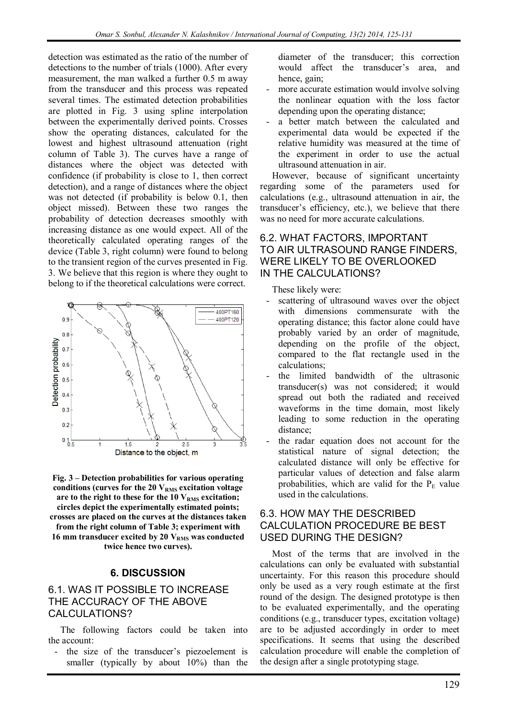detection was estimated as the ratio of the number of detections to the number of trials (1000). After every measurement, the man walked a further 0.5 m away from the transducer and this process was repeated several times. The estimated detection probabilities are plotted in Fig. 3 using spline interpolation between the experimentally derived points. Crosses show the operating distances, calculated for the lowest and highest ultrasound attenuation (right column of Table 3). The curves have a range of distances where the object was detected with confidence (if probability is close to 1, then correct detection), and a range of distances where the object was not detected (if probability is below 0.1, then object missed). Between these two ranges the probability of detection decreases smoothly with increasing distance as one would expect. All of the theoretically calculated operating ranges of the device (Table 3, right column) were found to belong to the transient region of the curves presented in Fig. 3. We believe that this region is where they ought to belong to if the theoretical calculations were correct.



Fig. 3 – Detection probabilities for various operating conditions (curves for the  $20$  V<sub>RMS</sub> excitation voltage are to the right to these for the  $10$   $V<sub>RMS</sub>$  excitation; circles depict the experimentally estimated points; crosses are placed on the curves at the distances taken from the right column of Table 3; experiment with 16 mm transducer excited by 20  $V<sub>RMS</sub>$  was conducted twice hence two curves).

# 6. DISCUSSION

# 6.1. WAS IT POSSIBLE TO INCREASE THE ACCURACY OF THE ABOVE CALCULATIONS?

The following factors could be taken into the account:

the size of the transducer's piezoelement is smaller (typically by about 10%) than the diameter of the transducer; this correction would affect the transducer's area, and hence, gain;

- more accurate estimation would involve solving the nonlinear equation with the loss factor depending upon the operating distance;
- a better match between the calculated and experimental data would be expected if the relative humidity was measured at the time of the experiment in order to use the actual ultrasound attenuation in air.

However, because of significant uncertainty regarding some of the parameters used for calculations (e.g., ultrasound attenuation in air, the transducer's efficiency, etc.), we believe that there was no need for more accurate calculations.

# 6.2. WHAT FACTORS, IMPORTANT TO AIR ULTRASOUND RANGE FINDERS, WERE LIKELY TO BE OVERLOOKED IN THE CALCULATIONS?

These likely were:

- scattering of ultrasound waves over the object with dimensions commensurate with the operating distance; this factor alone could have probably varied by an order of magnitude, depending on the profile of the object, compared to the flat rectangle used in the calculations;
- the limited bandwidth of the ultrasonic transducer(s) was not considered; it would spread out both the radiated and received waveforms in the time domain, most likely leading to some reduction in the operating distance;
- the radar equation does not account for the statistical nature of signal detection; the calculated distance will only be effective for particular values of detection and false alarm probabilities, which are valid for the  $P_E$  value used in the calculations.

# 6.3. HOW MAY THE DESCRIBED CALCULATION PROCEDURE BE BEST USED DURING THE DESIGN?

Most of the terms that are involved in the calculations can only be evaluated with substantial uncertainty. For this reason this procedure should only be used as a very rough estimate at the first round of the design. The designed prototype is then to be evaluated experimentally, and the operating conditions (e.g., transducer types, excitation voltage) are to be adjusted accordingly in order to meet specifications. It seems that using the described calculation procedure will enable the completion of the design after a single prototyping stage.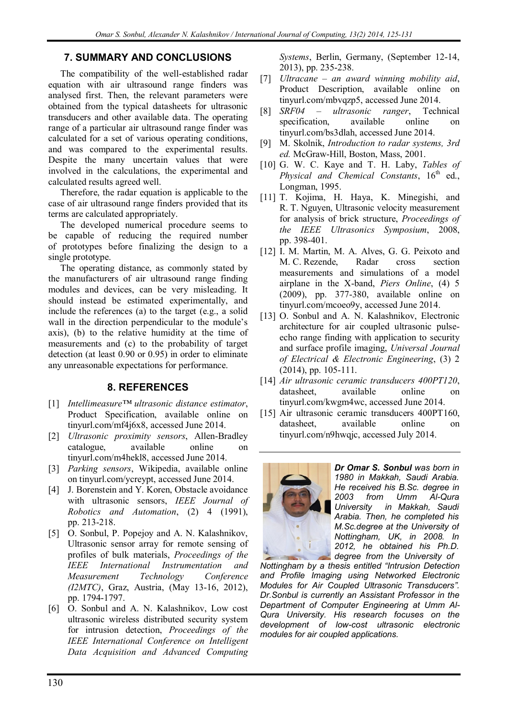# 7. SUMMARY AND CONCLUSIONS

The compatibility of the well-established radar equation with air ultrasound range finders was analysed first. Then, the relevant parameters were obtained from the typical datasheets for ultrasonic transducers and other available data. The operating range of a particular air ultrasound range finder was calculated for a set of various operating conditions, and was compared to the experimental results. Despite the many uncertain values that were involved in the calculations, the experimental and calculated results agreed well.

Therefore, the radar equation is applicable to the case of air ultrasound range finders provided that its terms are calculated appropriately.

The developed numerical procedure seems to be capable of reducing the required number of prototypes before finalizing the design to a single prototype.

The operating distance, as commonly stated by the manufacturers of air ultrasound range finding modules and devices, can be very misleading. It should instead be estimated experimentally, and include the references (a) to the target (e.g., a solid wall in the direction perpendicular to the module's axis), (b) to the relative humidity at the time of measurements and (c) to the probability of target detection (at least 0.90 or 0.95) in order to eliminate any unreasonable expectations for performance.

# 8. REFERENCES

- [1] Intellimeasure™ ultrasonic distance estimator, Product Specification, available online on tinyurl.com/mf4j6x8, accessed June 2014.
- [2] Ultrasonic proximity sensors, Allen-Bradley catalogue, available online on tinyurl.com/m4hekl8, accessed June 2014.
- [3] *Parking sensors*, Wikipedia, available online on tinyurl.com/ycreypt, accessed June 2014.
- [4] J. Borenstein and Y. Koren, Obstacle avoidance with ultrasonic sensors, IEEE Journal of Robotics and Automation, (2) 4 (1991), pp. 213-218.
- [5] O. Sonbul, P. Popejoy and A. N. Kalashnikov, Ultrasonic sensor array for remote sensing of profiles of bulk materials, Proceedings of the IEEE International Instrumentation and Measurement Technology Conference (I2MTC), Graz, Austria, (May 13-16, 2012), pp. 1794-1797.
- [6] O. Sonbul and A. N. Kalashnikov, Low cost ultrasonic wireless distributed security system for intrusion detection, Proceedings of the IEEE International Conference on Intelligent Data Acquisition and Advanced Computing

Systems, Berlin, Germany, (September 12-14, 2013), pp. 235-238.

- [7] Ultracane an award winning mobility aid, Product Description, available online on tinyurl.com/mbvqzp5, accessed June 2014.
- [8] SRF04 ultrasonic ranger, Technical specification, available online on tinyurl.com/bs3dlah, accessed June 2014.
- [9] M. Skolnik, Introduction to radar systems, 3rd ed. McGraw-Hill, Boston, Mass, 2001.
- [10] G. W. C. Kaye and T. H. Laby, Tables of Physical and Chemical Constants,  $16<sup>th</sup>$  ed., Longman, 1995.
- [11] T. Kojima, H. Haya, K. Minegishi, and R. T. Nguyen, Ultrasonic velocity measurement for analysis of brick structure, Proceedings of the IEEE Ultrasonics Symposium, 2008, pp. 398-401.
- [12] I. M. Martin, M. A. Alves, G. G. Peixoto and M. C. Rezende, Radar cross section measurements and simulations of a model airplane in the X-band, Piers Online, (4) 5 (2009), pp. 377-380, available online on tinyurl.com/mcoeo9y, accessed June 2014.
- [13] O. Sonbul and A. N. Kalashnikov, Electronic architecture for air coupled ultrasonic pulseecho range finding with application to security and surface profile imaging, Universal Journal of Electrical & Electronic Engineering, (3) 2 (2014), pp. 105-111.
- [14] Air ultrasonic ceramic transducers 400PT120, datasheet, available online on tinyurl.com/kwgm4wc, accessed June 2014.
- [15] Air ultrasonic ceramic transducers 400PT160, datasheet, available online on tinyurl.com/n9hwqjc, accessed July 2014.



Dr Omar S. Sonbul was born in 1980 in Makkah, Saudi Arabia. He received his B.Sc. degree in 2003 from Umm Al-Qura University in Makkah, Saudi Arabia. Then, he completed his M.Sc.degree at the University of Nottingham, UK, in 2008. In 2012, he obtained his Ph.D. degree from the University of

Nottingham by a thesis entitled "Intrusion Detection and Profile Imaging using Networked Electronic Modules for Air Coupled Ultrasonic Transducers". Dr.Sonbul is currently an Assistant Professor in the Department of Computer Engineering at Umm Al-Qura University. His research focuses on the development of low-cost ultrasonic electronic modules for air coupled applications.